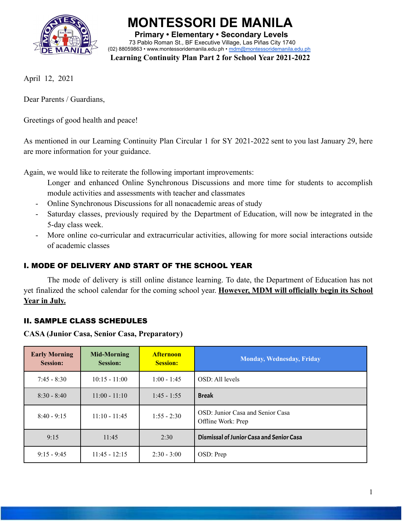

**MONTESSORI DE MANILA Primary • Elementary • Secondary Levels** 73 Pablo Roman St., BF Executive Village, Las Piñas City 1740 (02) 88059863 • [www.montessoridemanila.edu.ph](http://www.montessoridemanila.edu.ph) • [mdm@montessoridemanila.edu.ph](mailto:mdm@montessoridemanila.edu.ph)

**Learning Continuity Plan Part 2 for School Year 2021-2022**

April 12, 2021

Dear Parents / Guardians,

Greetings of good health and peace!

As mentioned in our Learning Continuity Plan Circular 1 for SY 2021-2022 sent to you last January 29, here are more information for your guidance.

Again, we would like to reiterate the following important improvements:

- Longer and enhanced Online Synchronous Discussions and more time for students to accomplish module activities and assessments with teacher and classmates
- Online Synchronous Discussions for all nonacademic areas of study
- Saturday classes, previously required by the Department of Education, will now be integrated in the 5-day class week.
- More online co-curricular and extracurricular activities, allowing for more social interactions outside of academic classes

# I. MODE OF DELIVERY AND START OF THE SCHOOL YEAR

The mode of delivery is still online distance learning. To date, the Department of Education has not yet finalized the school calendar for the coming school year. **However, MDM will officially begin its School Year in July.**

# II. SAMPLE CLASS SCHEDULES

**CASA (Junior Casa, Senior Casa, Preparatory)**

| <b>Early Morning</b><br><b>Session:</b> | <b>Mid-Morning</b><br><b>Session:</b> | <b>Afternoon</b><br><b>Session:</b> | <b>Monday, Wednesday, Friday</b>                       |
|-----------------------------------------|---------------------------------------|-------------------------------------|--------------------------------------------------------|
| $7:45 - 8:30$                           | $10:15 - 11:00$                       | $1:00 - 1:45$                       | OSD: All levels                                        |
| $8:30 - 8:40$                           | $11:00 - 11:10$                       | $1:45 - 1:55$                       | <b>Break</b>                                           |
| $8:40 - 9:15$                           | $11:10 - 11:45$                       | $1:55 - 2:30$                       | OSD: Junior Casa and Senior Casa<br>Offline Work: Prep |
| 9:15                                    | 11:45                                 | 2:30                                | Dismissal of Junior Casa and Senior Casa               |
| $9:15 - 9:45$                           | $11:45 - 12:15$                       | $2:30 - 3:00$                       | OSD: Prep                                              |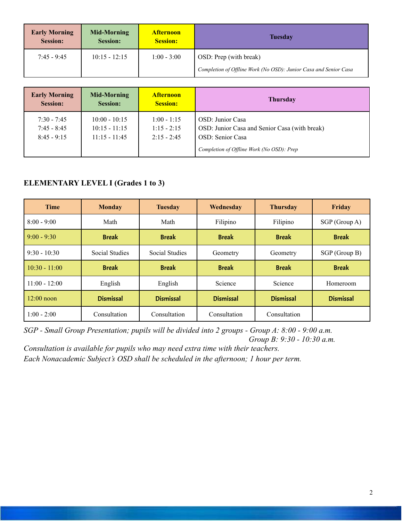| <b>Early Morning</b><br><b>Session:</b> | Mid-Morning<br><b>Session:</b> | <b>Afternoon</b><br><b>Session:</b> | <b>Tuesday</b>                                                   |  |
|-----------------------------------------|--------------------------------|-------------------------------------|------------------------------------------------------------------|--|
| $7:45 - 9:45$                           | $10:15 - 12:15$                | $1:00 - 3:00$                       | OSD: Prep (with break)                                           |  |
|                                         |                                |                                     | Completion of Offline Work (No OSD): Junior Casa and Senior Casa |  |

| <b>Early Morning</b>                            | <b>Mid-Morning</b>                                    | <b>Afternoon</b>                                | <b>Thursday</b>                                                                                                                            |
|-------------------------------------------------|-------------------------------------------------------|-------------------------------------------------|--------------------------------------------------------------------------------------------------------------------------------------------|
| <b>Session:</b>                                 | <b>Session:</b>                                       | <b>Session:</b>                                 |                                                                                                                                            |
| $7:30 - 7:45$<br>$7:45 - 8:45$<br>$8:45 - 9:15$ | $10:00 - 10:15$<br>$10:15 - 11:15$<br>$11:15 - 11:45$ | $1:00 - 1:15$<br>$1:15 - 2:15$<br>$2:15 - 2:45$ | <b>OSD</b> : Junior Casa<br>OSD: Junior Casa and Senior Casa (with break)<br>OSD: Senior Casa<br>Completion of Offline Work (No OSD): Prep |

### **ELEMENTARY LEVEL I (Grades 1 to 3)**

| <b>Time</b>     | <b>Monday</b>    | <b>Tuesday</b>   | Wednesday        | <b>Thursday</b>  | Friday           |
|-----------------|------------------|------------------|------------------|------------------|------------------|
| $8:00 - 9:00$   | Math             | Math             | Filipino         | Filipino         | SGP(Group A)     |
| $9:00 - 9:30$   | <b>Break</b>     | <b>Break</b>     | <b>Break</b>     | <b>Break</b>     | <b>Break</b>     |
| $9:30 - 10:30$  | Social Studies   | Social Studies   | Geometry         | Geometry         | $SGP$ (Group B)  |
| $10:30 - 11:00$ | <b>Break</b>     | <b>Break</b>     | <b>Break</b>     | <b>Break</b>     | <b>Break</b>     |
| $11:00 - 12:00$ | English          | English          | Science          | Science          | Homeroom         |
| $12:00$ noon    | <b>Dismissal</b> | <b>Dismissal</b> | <b>Dismissal</b> | <b>Dismissal</b> | <b>Dismissal</b> |
| $1:00 - 2:00$   | Consultation     | Consultation     | Consultation     | Consultation     |                  |

*SGP - Small Group Presentation; pupils will be divided into 2 groups - Group A: 8:00 - 9:00 a.m. Group B: 9:30 - 10:30 a.m.*

*Consultation is available for pupils who may need extra time with their teachers. Each Nonacademic Subject's OSD shall be scheduled in the afternoon; 1 hour per term.*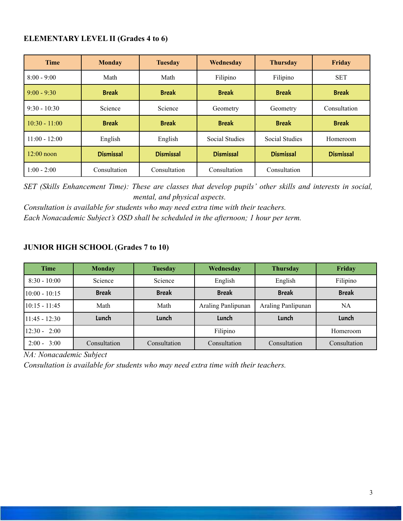#### **ELEMENTARY LEVEL II (Grades 4 to 6)**

| <b>Time</b>     | <b>Monday</b>    | <b>Tuesday</b>   | Wednesday             | <b>Thursday</b>  | Friday           |
|-----------------|------------------|------------------|-----------------------|------------------|------------------|
| $8:00 - 9:00$   | Math             | Math             | Filipino              | Filipino         | <b>SET</b>       |
| $9:00 - 9:30$   | <b>Break</b>     | <b>Break</b>     | <b>Break</b>          | <b>Break</b>     | <b>Break</b>     |
| $9:30 - 10:30$  | Science          | Science          | Geometry              | Geometry         | Consultation     |
| $10:30 - 11:00$ | <b>Break</b>     | <b>Break</b>     | <b>Break</b>          | <b>Break</b>     | <b>Break</b>     |
| $11:00 - 12:00$ | English          | English          | <b>Social Studies</b> | Social Studies   | Homeroom         |
| $12:00$ noon    | <b>Dismissal</b> | <b>Dismissal</b> | <b>Dismissal</b>      | <b>Dismissal</b> | <b>Dismissal</b> |
| $1:00 - 2:00$   | Consultation     | Consultation     | Consultation          | Consultation     |                  |

*SET (Skills Enhancement Time): These are classes that develop pupils' other skills and interests in social, mental, and physical aspects.*

*Consultation is available for students who may need extra time with their teachers. Each Nonacademic Subject's OSD shall be scheduled in the afternoon; 1 hour per term.*

## **JUNIOR HIGH SCHOOL (Grades 7 to 10)**

| <b>Time</b>     | <b>Monday</b> | <b>Tuesday</b> | Wednesday          | <b>Thursday</b>    | Friday       |
|-----------------|---------------|----------------|--------------------|--------------------|--------------|
| $8:30 - 10:00$  | Science       | Science        | English            | English            | Filipino     |
| $10:00 - 10:15$ | <b>Break</b>  | <b>Break</b>   | <b>Break</b>       | <b>Break</b>       | <b>Break</b> |
| $10:15 - 11:45$ | Math          | Math           | Araling Panlipunan | Araling Panlipunan | NA           |
| $11:45 - 12:30$ | Lunch         | Lunch          | Lunch              | Lunch              | Lunch        |
| $12:30 - 2:00$  |               |                | Filipino           |                    | Homeroom     |
| $2:00 - 3:00$   | Consultation  | Consultation   | Consultation       | Consultation       | Consultation |

*NA: Nonacademic Subject*

*Consultation is available for students who may need extra time with their teachers.*